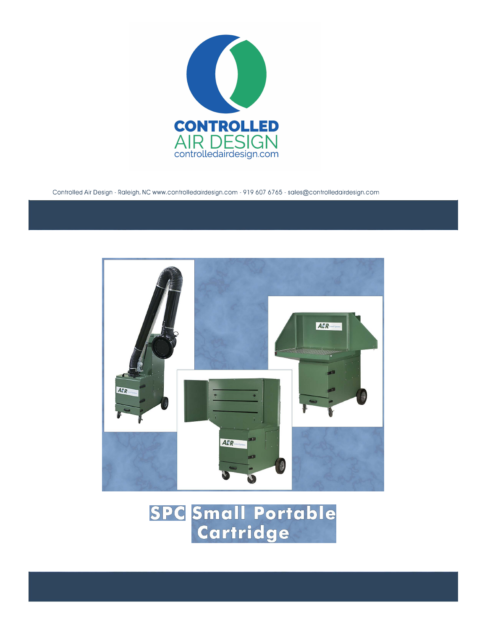

Controlled Air Design - Raleigh, NC www.controlledairdesign.com - 919 607 6765 - sales@controlledairdesign.com

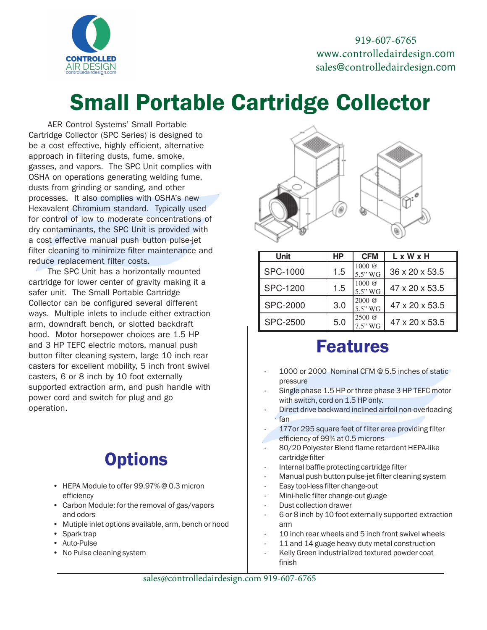

919-607-6765 www.controlledairdesign.com sales@controlledairdesign.com

# Small Portable Cartridge Collector

AER Control Systems' Small Portable Cartridge Collector (SPC Series) is designed to be a cost effective, highly efficient, alternative approach in filtering dusts, fume, smoke, gasses, and vapors. The SPC Unit complies with OSHA on operations generating welding fume, dusts from grinding or sanding, and other processes. It also complies with OSHA's new Hexavalent Chromium standard. Typically used for control of low to moderate concentrations of dry contaminants, the SPC Unit is provided with a cost effective manual push button pulse-jet filter cleaning to minimize filter maintenance and reduce replacement filter costs.

The SPC Unit has a horizontally mounted cartridge for lower center of gravity making it a safer unit. The Small Portable Cartridge Collector can be configured several different ways. Multiple inlets to include either extraction arm, downdraft bench, or slotted backdraft hood. Motor horsepower choices are 1.5 HP and 3 HP TEFC electric motors, manual push button filter cleaning system, large 10 inch rear casters for excellent mobility, 5 inch front swivel casters, 6 or 8 inch by 10 foot externally supported extraction arm, and push handle with power cord and switch for plug and go operation.

### **Options**

- HEPA Module to offer 99.97% @ 0.3 micron efficiency
- Carbon Module: for the removal of gas/vapors and odors
- Mutiple inlet options available, arm, bench or hood
- Spark trap
- Auto-Pulse
- No Pulse cleaning system



| Unit            | <b>HP</b> | <b>CFM</b>                             | L x W x H      |
|-----------------|-----------|----------------------------------------|----------------|
| <b>SPC-1000</b> | 1.5       | $1000 \; \textcircled{a}$<br>$5.5"$ WG | 36 x 20 x 53.5 |
| <b>SPC-1200</b> | 1.5       | $1000 \; \textcircled{a}$<br>$5.5"$ WG | 47 x 20 x 53.5 |
| <b>SPC-2000</b> | 3.0       | $2000 \; \textcircled{a}$<br>5.5" WG   | 47 x 20 x 53.5 |
| SPC-2500        | 5.0       | $2500 \; \textcircled{a}$<br>$7.5"$ WG | 47 x 20 x 53.5 |

#### Features

- 1000 or 2000 Nominal CFM @ 5.5 inches of static pressure
- Single phase 1.5 HP or three phase 3 HP TEFC motor with switch, cord on 1.5 HP only.
- Direct drive backward inclined airfoil non-overloading fan
- 177 or 295 square feet of filter area providing filter efficiency of 99% at 0.5 microns
- 80/20 Polyester Blend flame retardent HEPA-like cartridge filter
- · Internal baffle protecting cartridge filter
- Manual push button pulse-jet filter cleaning system
- Easy tool-less filter change-out
- · Mini-helic filter change-out guage
- · Dust collection drawer
- · 6 or 8 inch by 10 foot externally supported extraction arm
- 10 inch rear wheels and 5 inch front swivel wheels
- 11 and 14 guage heavy duty metal construction
- Kelly Green industrialized textured powder coat finish